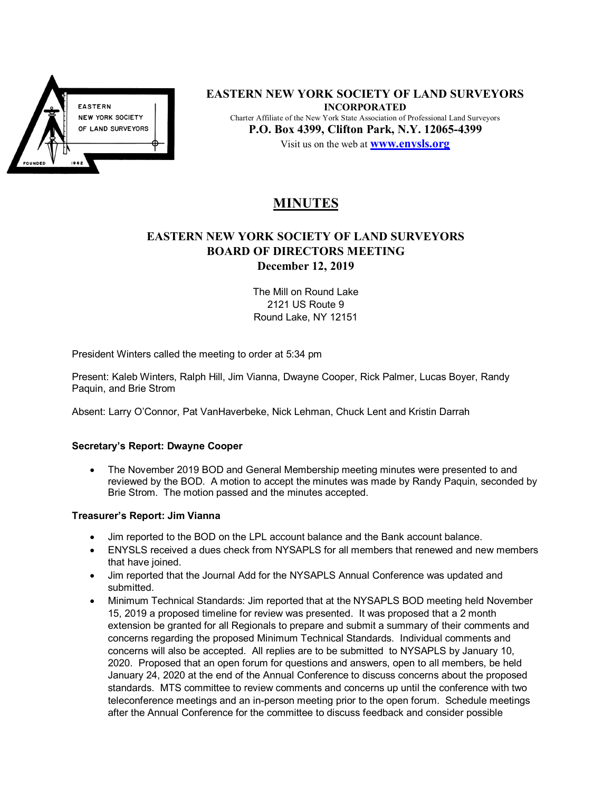

**EASTERN NEW YORK SOCIETY OF LAND SURVEYORS INCORPORATED**  Charter Affiliate of the New York State Association of Professional Land Surveyors **P.O. Box 4399, Clifton Park, N.Y. 12065-4399**  Visit us on the web at **www.enysls.org**

# **MINUTES**

# **EASTERN NEW YORK SOCIETY OF LAND SURVEYORS BOARD OF DIRECTORS MEETING December 12, 2019**

The Mill on Round Lake 2121 US Route 9 Round Lake, NY 12151

President Winters called the meeting to order at 5:34 pm

Present: Kaleb Winters, Ralph Hill, Jim Vianna, Dwayne Cooper, Rick Palmer, Lucas Boyer, Randy Paquin, and Brie Strom

Absent: Larry O'Connor, Pat VanHaverbeke, Nick Lehman, Chuck Lent and Kristin Darrah

## **Secretary's Report: Dwayne Cooper**

• The November 2019 BOD and General Membership meeting minutes were presented to and reviewed by the BOD. A motion to accept the minutes was made by Randy Paquin, seconded by Brie Strom. The motion passed and the minutes accepted.

#### **Treasurer's Report: Jim Vianna**

- Jim reported to the BOD on the LPL account balance and the Bank account balance.
- ENYSLS received a dues check from NYSAPLS for all members that renewed and new members that have joined.
- Jim reported that the Journal Add for the NYSAPLS Annual Conference was updated and submitted.
- Minimum Technical Standards: Jim reported that at the NYSAPLS BOD meeting held November 15, 2019 a proposed timeline for review was presented. It was proposed that a 2 month extension be granted for all Regionals to prepare and submit a summary of their comments and concerns regarding the proposed Minimum Technical Standards. Individual comments and concerns will also be accepted. All replies are to be submitted to NYSAPLS by January 10, 2020. Proposed that an open forum for questions and answers, open to all members, be held January 24, 2020 at the end of the Annual Conference to discuss concerns about the proposed standards. MTS committee to review comments and concerns up until the conference with two teleconference meetings and an in-person meeting prior to the open forum. Schedule meetings after the Annual Conference for the committee to discuss feedback and consider possible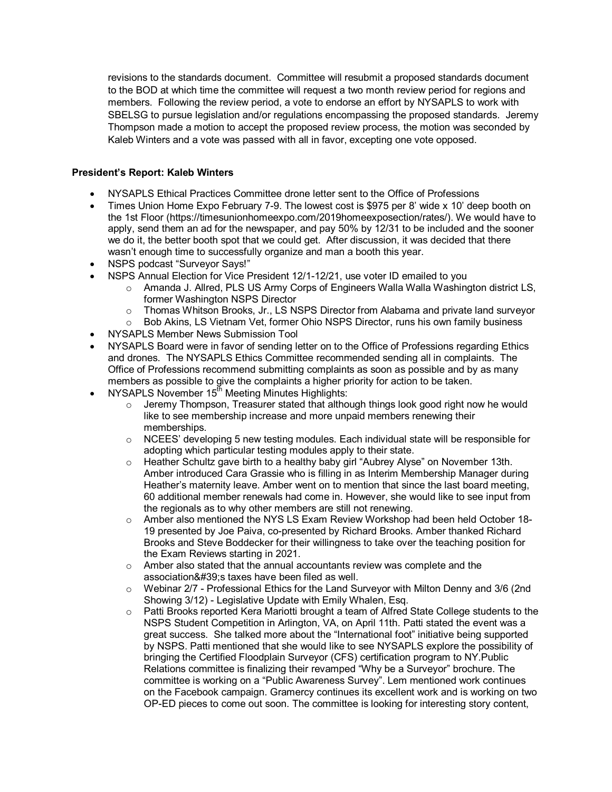revisions to the standards document. Committee will resubmit a proposed standards document to the BOD at which time the committee will request a two month review period for regions and members. Following the review period, a vote to endorse an effort by NYSAPLS to work with SBELSG to pursue legislation and/or regulations encompassing the proposed standards. Jeremy Thompson made a motion to accept the proposed review process, the motion was seconded by Kaleb Winters and a vote was passed with all in favor, excepting one vote opposed.

## **President's Report: Kaleb Winters**

- NYSAPLS Ethical Practices Committee drone letter sent to the Office of Professions
- Times Union Home Expo February 7-9. The lowest cost is \$975 per 8' wide x 10' deep booth on the 1st Floor (https://timesunionhomeexpo.com/2019homeexposection/rates/). We would have to apply, send them an ad for the newspaper, and pay 50% by 12/31 to be included and the sooner we do it, the better booth spot that we could get. After discussion, it was decided that there wasn't enough time to successfully organize and man a booth this year.
- NSPS podcast "Surveyor Says!"
- NSPS Annual Election for Vice President 12/1-12/21, use voter ID emailed to you
	- $\circ$  Amanda J. Allred, PLS US Army Corps of Engineers Walla Walla Washington district LS, former Washington NSPS Director
	- $\circ$  Thomas Whitson Brooks, Jr., LS NSPS Director from Alabama and private land surveyor
	- $\circ$  Bob Akins, LS Vietnam Vet, former Ohio NSPS Director, runs his own family business
- NYSAPLS Member News Submission Tool
- NYSAPLS Board were in favor of sending letter on to the Office of Professions regarding Ethics and drones. The NYSAPLS Ethics Committee recommended sending all in complaints. The Office of Professions recommend submitting complaints as soon as possible and by as many members as possible to give the complaints a higher priority for action to be taken.
- NYSAPLS November  $15<sup>th</sup>$  Meeting Minutes Highlights:
	- $\circ$  Jeremy Thompson. Treasurer stated that although things look good right now he would like to see membership increase and more unpaid members renewing their memberships.
	- o NCEES' developing 5 new testing modules. Each individual state will be responsible for adopting which particular testing modules apply to their state.
	- o Heather Schultz gave birth to a healthy baby girl "Aubrey Alyse" on November 13th. Amber introduced Cara Grassie who is filling in as Interim Membership Manager during Heather's maternity leave. Amber went on to mention that since the last board meeting, 60 additional member renewals had come in. However, she would like to see input from the regionals as to why other members are still not renewing.
	- $\circ$  Amber also mentioned the NYS LS Exam Review Workshop had been held October 18-19 presented by Joe Paiva, co-presented by Richard Brooks. Amber thanked Richard Brooks and Steve Boddecker for their willingness to take over the teaching position for the Exam Reviews starting in 2021.
	- $\circ$  Amber also stated that the annual accountants review was complete and the association's taxes have been filed as well.
	- $\circ$  Webinar 2/7 Professional Ethics for the Land Surveyor with Milton Denny and 3/6 (2nd Showing 3/12) - Legislative Update with Emily Whalen, Esq.
	- o Patti Brooks reported Kera Mariotti brought a team of Alfred State College students to the NSPS Student Competition in Arlington, VA, on April 11th. Patti stated the event was a great success. She talked more about the "International foot" initiative being supported by NSPS. Patti mentioned that she would like to see NYSAPLS explore the possibility of bringing the Certified Floodplain Surveyor (CFS) certification program to NY.Public Relations committee is finalizing their revamped "Why be a Surveyor" brochure. The committee is working on a "Public Awareness Survey". Lem mentioned work continues on the Facebook campaign. Gramercy continues its excellent work and is working on two OP-ED pieces to come out soon. The committee is looking for interesting story content,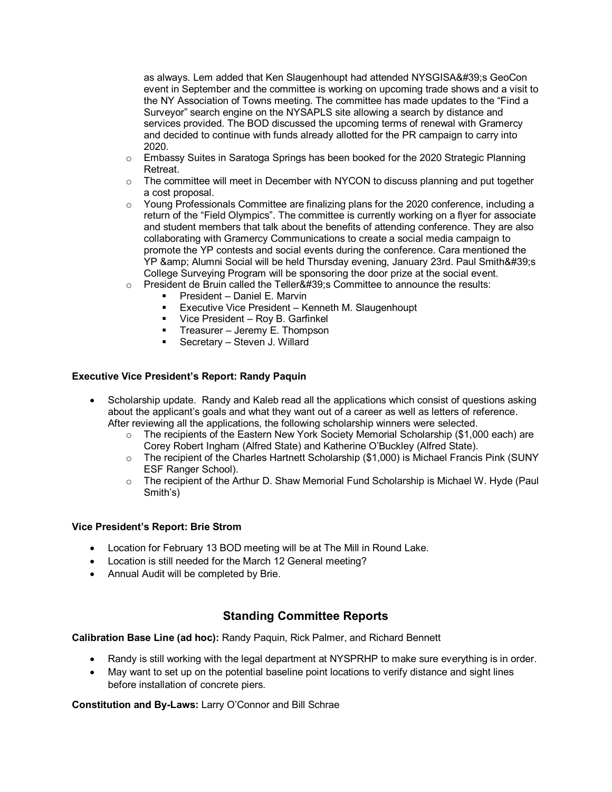as always. Lem added that Ken Slaugenhoupt had attended NYSGISA's GeoCon event in September and the committee is working on upcoming trade shows and a visit to the NY Association of Towns meeting. The committee has made updates to the "Find a Surveyor" search engine on the NYSAPLS site allowing a search by distance and services provided. The BOD discussed the upcoming terms of renewal with Gramercy and decided to continue with funds already allotted for the PR campaign to carry into 2020.

- $\circ$  Embassy Suites in Saratoga Springs has been booked for the 2020 Strategic Planning Retreat.
- o The committee will meet in December with NYCON to discuss planning and put together a cost proposal.
- $\circ$  Young Professionals Committee are finalizing plans for the 2020 conference, including a return of the "Field Olympics". The committee is currently working on a flyer for associate and student members that talk about the benefits of attending conference. They are also collaborating with Gramercy Communications to create a social media campaign to promote the YP contests and social events during the conference. Cara mentioned the YP & amp; Alumni Social will be held Thursday evening, January 23rd. Paul Smith& #39; s College Surveying Program will be sponsoring the door prize at the social event.
- $\circ$  President de Bruin called the Teller' Committee to announce the results:
	- President Daniel E. Marvin
	- Executive Vice President Kenneth M. Slaugenhoupt
	- Vice President Roy B. Garfinkel
	- **Treasurer Jeremy E. Thompson**
	- Secretary Steven J. Willard

## **Executive Vice President's Report: Randy Paquin**

- Scholarship update. Randy and Kaleb read all the applications which consist of questions asking about the applicant's goals and what they want out of a career as well as letters of reference. After reviewing all the applications, the following scholarship winners were selected.
	- o The recipients of the Eastern New York Society Memorial Scholarship (\$1,000 each) are Corey Robert Ingham (Alfred State) and Katherine O'Buckley (Alfred State).
	- $\circ$  The recipient of the Charles Hartnett Scholarship (\$1,000) is Michael Francis Pink (SUNY ESF Ranger School).
	- $\circ$  The recipient of the Arthur D. Shaw Memorial Fund Scholarship is Michael W. Hyde (Paul Smith's)

## **Vice President's Report: Brie Strom**

- Location for February 13 BOD meeting will be at The Mill in Round Lake.
- Location is still needed for the March 12 General meeting?
- Annual Audit will be completed by Brie.

# **Standing Committee Reports**

**Calibration Base Line (ad hoc):** Randy Paquin, Rick Palmer, and Richard Bennett

- Randy is still working with the legal department at NYSPRHP to make sure everything is in order.
- May want to set up on the potential baseline point locations to verify distance and sight lines before installation of concrete piers.

**Constitution and By-Laws:** Larry O'Connor and Bill Schrae